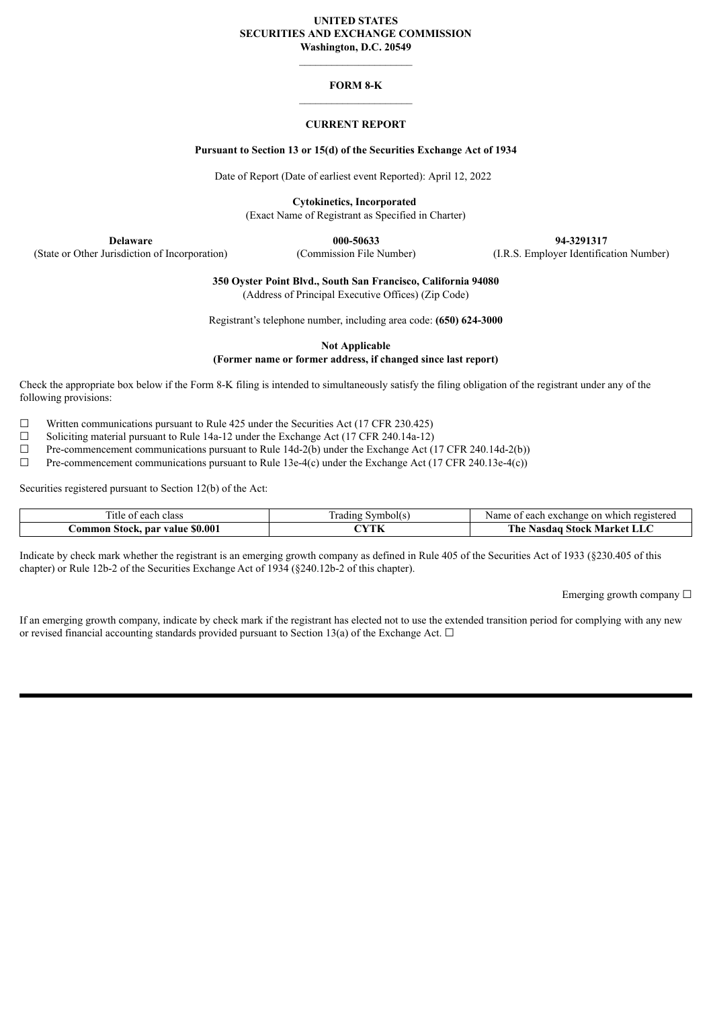#### **UNITED STATES SECURITIES AND EXCHANGE COMMISSION Washington, D.C. 20549**

### **FORM 8-K**

### **CURRENT REPORT**

#### **Pursuant to Section 13 or 15(d) of the Securities Exchange Act of 1934**

Date of Report (Date of earliest event Reported): April 12, 2022

**Cytokinetics, Incorporated**

(Exact Name of Registrant as Specified in Charter)

(State or Other Jurisdiction of Incorporation) (Commission File Number) (I.R.S. Employer Identification Number)

**Delaware 000-50633 94-3291317**

**350 Oyster Point Blvd., South San Francisco, California 94080**

(Address of Principal Executive Offices) (Zip Code)

Registrant's telephone number, including area code: **(650) 624-3000**

**Not Applicable**

#### **(Former name or former address, if changed since last report)**

Check the appropriate box below if the Form 8-K filing is intended to simultaneously satisfy the filing obligation of the registrant under any of the following provisions:

 $\Box$  Written communications pursuant to Rule 425 under the Securities Act (17 CFR 230.425)

 $\Box$  Soliciting material pursuant to Rule 14a-12 under the Exchange Act (17 CFR 240.14a-12)

☐ Pre-commencement communications pursuant to Rule 14d-2(b) under the Exchange Act (17 CFR 240.14d-2(b))

☐ Pre-commencement communications pursuant to Rule 13e-4(c) under the Exchange Act (17 CFR 240.13e-4(c))

Securities registered pursuant to Section 12(b) of the Act:

| --<br>`itle<br>class<br>$\Delta$<br>ി 1<br>54 C | $\sim$<br>⊺adın⊊<br>vmbo', | registereg<br>Name<br>change<br>n<br>which<br>each |
|-------------------------------------------------|----------------------------|----------------------------------------------------|
| \$0.001<br>`ommon<br>. par<br>value<br>Stock.   |                            | ---<br>'he<br>asda<br>Morizot<br>stock .<br>143L   |

Indicate by check mark whether the registrant is an emerging growth company as defined in Rule 405 of the Securities Act of 1933 (§230.405 of this chapter) or Rule 12b-2 of the Securities Exchange Act of 1934 (§240.12b-2 of this chapter).

Emerging growth company ☐

If an emerging growth company, indicate by check mark if the registrant has elected not to use the extended transition period for complying with any new or revised financial accounting standards provided pursuant to Section 13(a) of the Exchange Act.  $\Box$